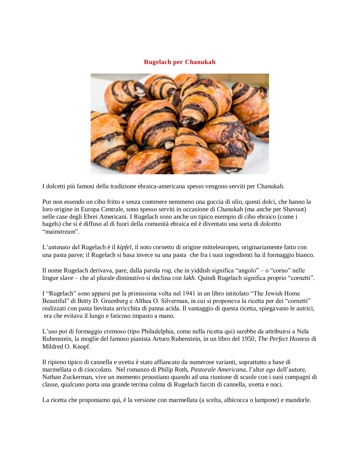## **Rugelach per Chanukah**



I dolcetti più famosi della tradizione ebraica-americana spesso vengono serviti per Chanukah.

Pur non essendo un cibo fritto e senza contenere nemmeno una goccia di olio, questi dolci, che hanno la loro origine in Europa Centrale, sono spesso serviti in occasione di Chanukah (ma anche per Shavuot) nelle case degli Ebrei Americani. I Rugelach sono anche un tipico esempio di cibo ebraico (come i bagels) che si è diffuso al di fuori della comunità ebraica ed è diventato una sorta di dolcetto "mainstream".

L'antenato del Rugelach è il *kipfel*, il noto cornetto di origine mitteleuropeo, originariamente fatto con una pasta parve; il Rugelach si basa invece su una pasta che fra i suoi ingredienti ha il formaggio bianco.

Il nome Rugelach derivava, pare, dalla parola *rog*, che in yiddish significa "angolo" – o "corno" nelle lingue slave – che al plurale diminutivo si declina con *lakh*. Quindi Rugelach significa proprio "cornetti".

I "Rugelach" sono apparsi per la primissima volta nel 1941 in un libro intitolato "The Jewish Home Beautiful" di Betty D. Greenberg e Althea O. Silverman, in cui si proponeva la ricetta per dei "cornetti" realizzati con pasta lievitata arricchita di panna acida. Il vantaggio di questa ricetta, spiegavano le autrici, era che evitava il lungo e faticoso impasto a mano.

L'uso poi di formaggio cremoso (tipo Philadelphia, come nella ricetta qui) sarebbe da attribuirsi a Nela Rubenstein, la moglie del famoso pianista Arturo Rubenstein, in un libro del 1950, *The Perfect Hostess* di Mildred O. Knopf.

Il ripieno tipico di cannella e uvetta è stato affiancato da numerose varianti, soprattutto a base di marmellata o di cioccolato. Nel romanzo di Philip Roth, *Pastorale Americana*, l'alter ego dell'autore, Nathan Zuckerman, vive un momento proustiano quando ad una riunione di scuole con i suoi compagni di classe, qualcuno porta una grande terrina colma di Rugelach farciti di cannella, uvetta e noci.

La ricetta che proponiamo qui, è la versione con marmellata (a scelta, albicocca o lampone) e mandorle.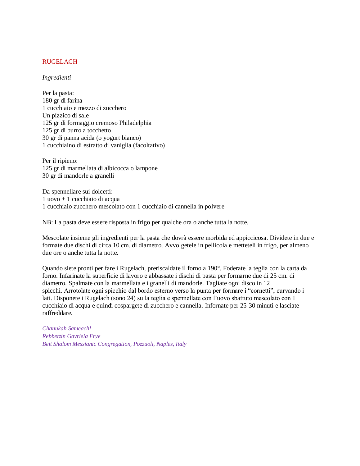### RUGELACH

#### *Ingredienti*

Per la pasta: 180 gr di farina 1 cucchiaio e mezzo di zucchero Un pizzico di sale 125 gr di formaggio cremoso Philadelphia 125 gr di burro a tocchetto 30 gr di panna acida (o yogurt bianco) 1 cucchiaino di estratto di vaniglia (facoltativo)

Per il ripieno: 125 gr di marmellata di albicocca o lampone 30 gr di mandorle a granelli

Da spennellare sui dolcetti: 1 uovo + 1 cucchiaio di acqua 1 cucchiaio zucchero mescolato con 1 cucchiaio di cannella in polvere

NB: La pasta deve essere risposta in frigo per qualche ora o anche tutta la notte.

Mescolate insieme gli ingredienti per la pasta che dovrà essere morbida ed appiccicosa. Dividete in due e formate due dischi di circa 10 cm. di diametro. Avvolgetele in pellicola e metteteli in frigo, per almeno due ore o anche tutta la notte.

Quando siete pronti per fare i Rugelach, preriscaldate il forno a 190°. Foderate la teglia con la carta da forno. Infarinate la superficie di lavoro e abbassate i dischi di pasta per formarne due di 25 cm. di diametro. Spalmate con la marmellata e i granelli di mandorle. Tagliate ogni disco in 12 spicchi. Arrotolate ogni spicchio dal bordo esterno verso la punta per formare i "cornetti", curvando i lati. Disponete i Rugelach (sono 24) sulla teglia e spennellate con l'uovo sbattuto mescolato con 1 cucchiaio di acqua e quindi cospargete di zucchero e cannella. Infornate per 25-30 minuti e lasciate raffreddare.

*Chanukah Sameach! Rebbetzin Gavriela Frye Beit Shalom Messianic Congregation, Pozzuoli, Naples, Italy*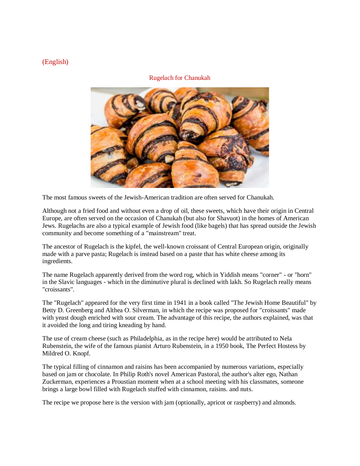# (English)

## Rugelach for Chanukah



The most famous sweets of the Jewish-American tradition are often served for Chanukah.

Although not a fried food and without even a drop of oil, these sweets, which have their origin in Central Europe, are often served on the occasion of Chanukah (but also for Shavuot) in the homes of American Jews. Rugelachs are also a typical example of Jewish food (like bagels) that has spread outside the Jewish community and become something of a "mainstream" treat.

The ancestor of Rugelach is the kipfel, the well-known croissant of Central European origin, originally made with a parve pasta; Rugelach is instead based on a paste that has white cheese among its ingredients.

The name Rugelach apparently derived from the word rog, which in Yiddish means "corner" - or "horn" in the Slavic languages - which in the diminutive plural is declined with lakh. So Rugelach really means "croissants".

The "Rugelach" appeared for the very first time in 1941 in a book called "The Jewish Home Beautiful" by Betty D. Greenberg and Althea O. Silverman, in which the recipe was proposed for "croissants" made with yeast dough enriched with sour cream. The advantage of this recipe, the authors explained, was that it avoided the long and tiring kneading by hand.

The use of cream cheese (such as Philadelphia, as in the recipe here) would be attributed to Nela Rubenstein, the wife of the famous pianist Arturo Rubenstein, in a 1950 book, The Perfect Hostess by Mildred O. Knopf.

The typical filling of cinnamon and raisins has been accompanied by numerous variations, especially based on jam or chocolate. In Philip Roth's novel American Pastoral, the author's alter ego, Nathan Zuckerman, experiences a Proustian moment when at a school meeting with his classmates, someone brings a large bowl filled with Rugelach stuffed with cinnamon, raisins. and nuts.

The recipe we propose here is the version with jam (optionally, apricot or raspberry) and almonds.